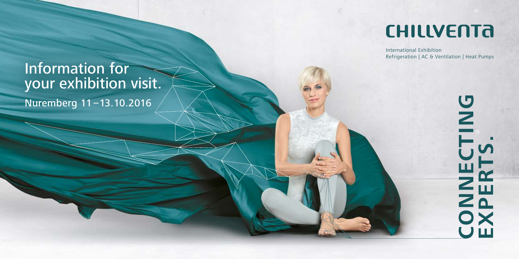### CHILLVENTA

International Exhibition Refrigeration | AC & Ventilation | Heat Pumps

**CONNECTING** 

CTING

**EXPERTS.**

**CONNE** 

### Information for your exhibition visit.

Nuremberg 11 –13.10.2016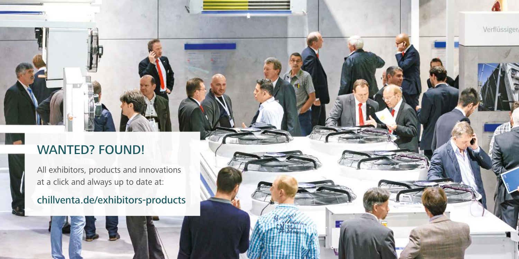### WANTED? FOUND!

All exhibitors, products and innovations at a click and always up to date at:

Verflüssiger

chillventa.de/exhibitors-products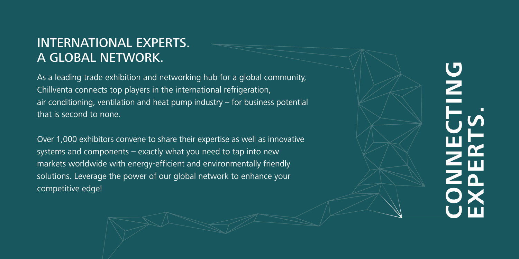### INTERNATIONAL EXPERTS. A GLOBAL NETWORK.

As a leading trade exhibition and networking hub for a global community, Chillventa connects top players in the international refrigeration, air conditioning, ventilation and heat pump industry – for business potential that is second to none.

Over 1,000 exhibitors convene to share their expertise as well as innovative systems and components – exactly what you need to tap into new markets worldwide with energy-efficient and environmentally friendly solutions. Leverage the power of our global network to enhance your competitive edge!

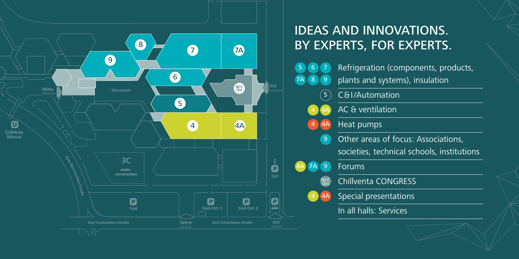

### IDEAS AND INNOVATIONS. BY EXPERTS, FOR EXPERTS.

Refrigeration (components, products, plants and systems), insulation C&I/Automation AC & ventilation Heat pumps Other areas of focus: Associations, societies, technical schools, institutions Forums Chillventa CONGRESS Special presentations In all halls: Services  $\overline{9}$ 5 6 7 9 7A 9 4A 4A  $(5)$ 8 7A  $4)$   $4A$ 4 **NCC** Ost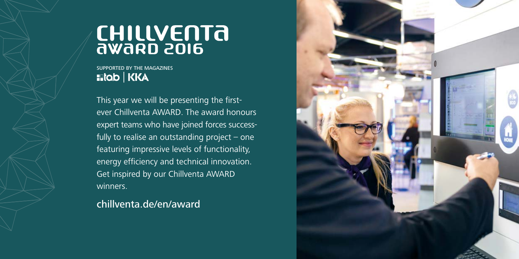### **CHILLVENTA**

SUPPORTED BY THE MAGAZINES

This year we will be presenting the firstever Chillventa AWARD. The award honours expert teams who have joined forces successfully to realise an outstanding project – one featuring impressive levels of functionality, energy efficiency and technical innovation. Get inspired by our Chillventa AWARD winners.

chillventa.de/en/award

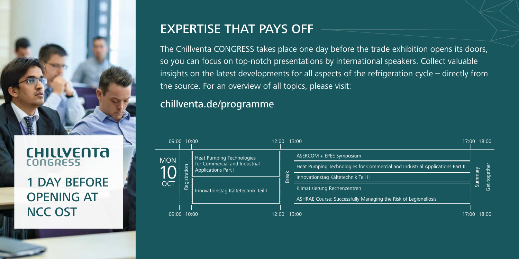

**CHILLVENTA** THE TREAT TREAT TO DAY BEFORE

### OPENING AT NCC OST

### EXPERTISE THAT PAYS OFF

The Chillventa CONGRESS takes place one day before the trade exhibition opens its doors, so you can focus on top-notch presentations by international speakers. Collect valuable insights on the latest developments for all aspects of the refrigeration cycle – directly from the source. For an overview of all topics, please visit:

### chillventa.de/programme

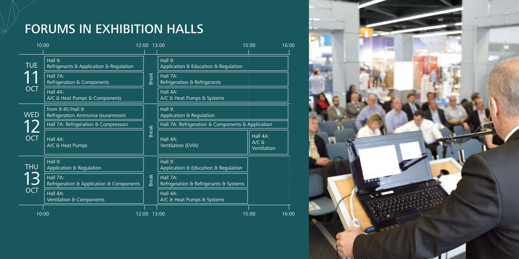### FORUMS IN EXHIBITION HALLS



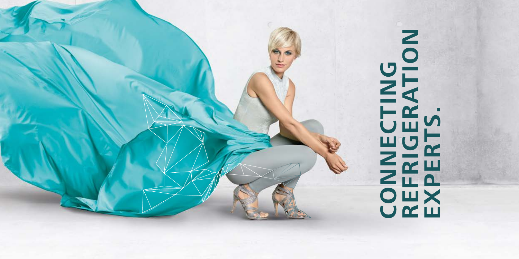# **CONNECTING<br>REFRIGERATION<br>EXPERTS.**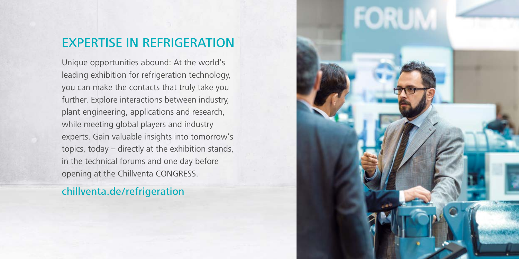### EXPERTISE IN REFRIGERATION

Unique opportunities abound: At the world's leading exhibition for refrigeration technology, you can make the contacts that truly take you further. Explore interactions between industry, plant engineering, applications and research, while meeting global players and industry experts. Gain valuable insights into tomorrow's topics, today – directly at the exhibition stands, in the technical forums and one day before opening at the Chillventa CONGRESS.

### chillventa.de/refrigeration

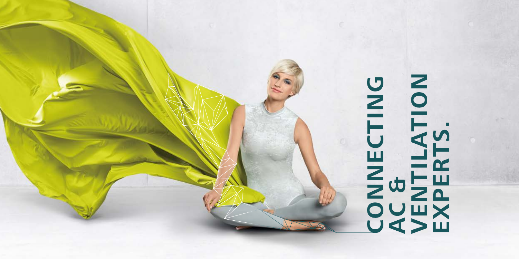## CONNECTING<br>AC &<br>VENTILATION<br>VENTILATION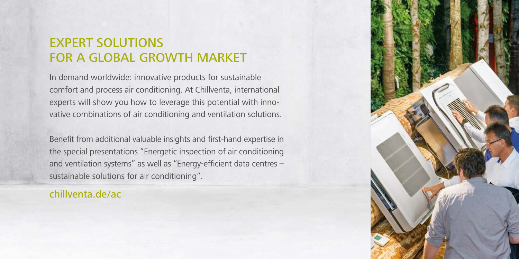### EXPERT SOLUTIONS FOR A GLOBAL GROWTH MARKET

In demand worldwide: innovative products for sustainable comfort and process air conditioning. At Chillventa, international experts will show you how to leverage this potential with innovative combinations of air conditioning and ventilation solutions.

Benefit from additional valuable insights and first-hand expertise in the special presentations "Energetic inspection of air conditioning and ventilation systems" as well as "Energy-efficient data centres – sustainable solutions for air conditioning".

### chillventa.de/ac

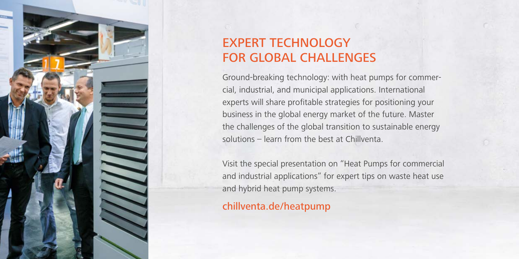

### EXPERT TECHNOLOGY FOR GLOBAL CHALLENGES

Ground-breaking technology: with heat pumps for commercial, industrial, and municipal applications. International experts will share profitable strategies for positioning your business in the global energy market of the future. Master the challenges of the global transition to sustainable energy solutions – learn from the best at Chillventa.

Visit the special presentation on "Heat Pumps for commercial and industrial applications" for expert tips on waste heat use and hybrid heat pump systems.

### chillventa.de/heatpump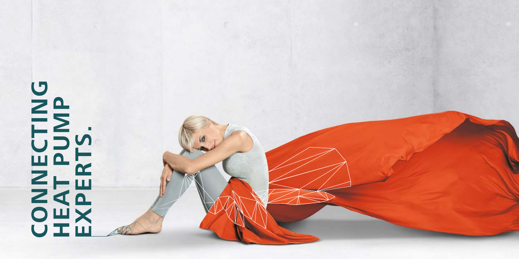### CONNECTING<br>HEAT PUMP<br>EXPERTS.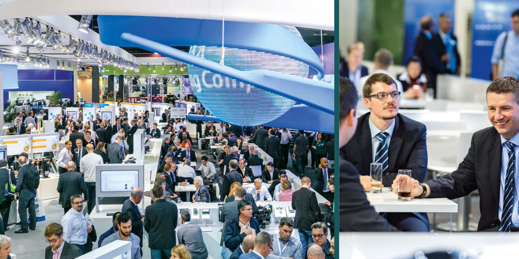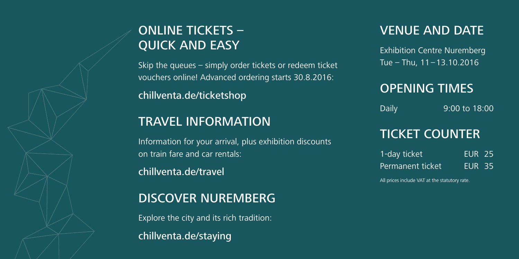### ONLINE TICKETS – QUICK AND EASY

Skip the queues – simply order tickets or redeem ticket vouchers online! Advanced ordering starts 30.8.2016: chillventa.de/ticketshop

### TRAVEL INFORMATION

Information for your arrival, plus exhibition discounts on train fare and car rentals:

chillventa.de/travel

### DISCOVER NUREMBERG

Explore the city and its rich tradition: chillventa.de/staying

### VENUE AND DATE

Exhibition Centre Nuremberg Tue – Thu, 11–13.10.2016

### OPENING TIMES

Daily 9:00 to 18:00

### TICKET COUNTER

| 1-day ticket     | <b>EUR 25</b> |  |
|------------------|---------------|--|
| Permanent ticket | <b>EUR 35</b> |  |

All prices include VAT at the statutory rate.